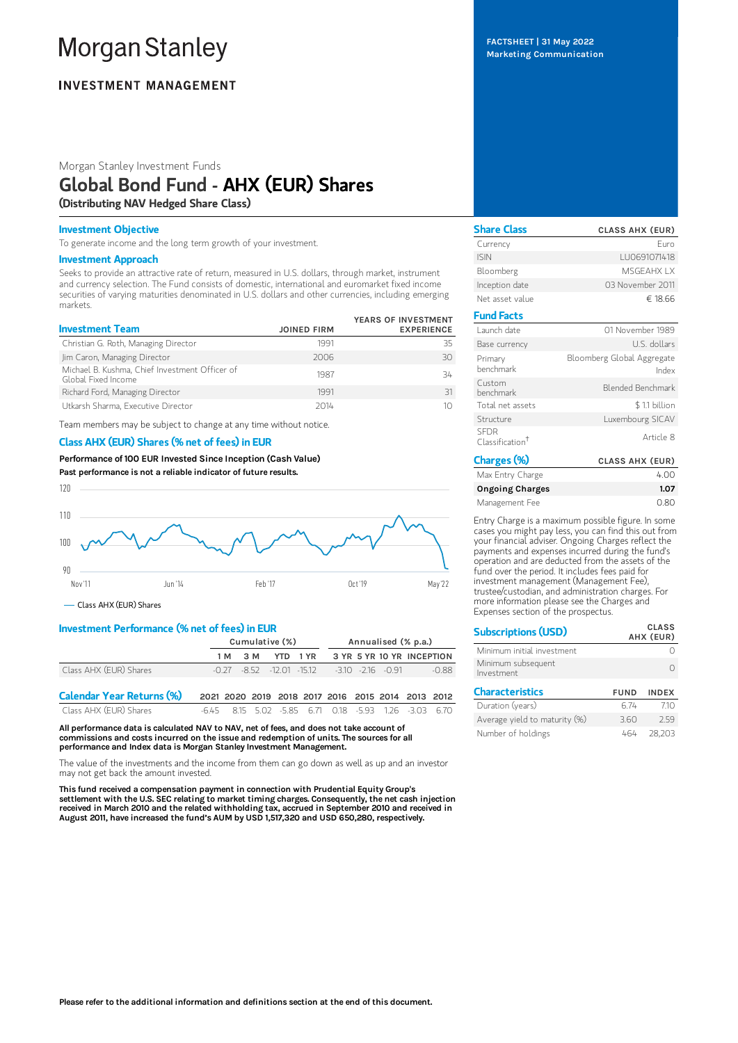# **Morgan Stanley**

## **INVESTMENT MANAGEMENT**

#### Morgan Stanley Investment Funds

## Global Bond Fund - AHX (EUR) Shares

(Distributing NAV Hedged Share Class)

#### Investment Objective

To generate income and the long term growth of your investment.

#### Investment Approach

Seeks to provide an attractive rate of return, measured in U.S. dollars, through market, instrument and currency selection. The Fund consists of domestic, international and euromarket fixed income securities of varying maturities denominated in U.S. dollars and other currencies, including emerging markets.

| <b>Investment Team</b>                                                | <b>JOINED FIRM</b> | YEARS OF INVESTMENT<br><b>EXPERIENCE</b> |
|-----------------------------------------------------------------------|--------------------|------------------------------------------|
| Christian G. Roth, Managing Director                                  | 1991               | 35                                       |
| Jim Caron, Managing Director                                          | 2006               | 30                                       |
| Michael B. Kushma, Chief Investment Officer of<br>Global Fixed Income | 1987               | 34                                       |
| Richard Ford, Managing Director                                       | 1991               | 31                                       |
| Utkarsh Sharma, Executive Director                                    | 2014               |                                          |

Team members may be subject to change at any time without notice.

## Class AHX (EUR) Shares (% net of fees) in EUR

Performance of100 EUR Invested Since Inception (Cash Value) Past performance is not a reliable indicator of future results.



Class AHX (EUR) Shares

#### Investment Performance (% net of fees) in EUR

|                        | Cumulative (%) |  |  | Annualised (% p.a.)                                                  |  |  |
|------------------------|----------------|--|--|----------------------------------------------------------------------|--|--|
|                        |                |  |  | 1M 3M YTD 1YR 3YR 5YR 10 YR INCEPTION                                |  |  |
| Class AHX (EUR) Shares |                |  |  | $-0.27$ $-8.52$ $-12.01$ $-15.12$ $-3.10$ $-2.16$ $-0.91$<br>$-0.88$ |  |  |
|                        |                |  |  |                                                                      |  |  |

Calendar Year Returns (%) 2021 2020 2019 2018 2017 2016 2015 2014 2013 2012 Class AHX (EUR) Shares -6.45 8.15 5.02 -5.85 6.71 0.18 -5.93 1.26 -3.03 6.70

All performance data is calculated NAV to NAV, net of fees, and does not take account of commissions and costs incurred on the issue and redemption of units. The sources for all performance and Index data is Morgan Stanley Investment Management.

The value of the investments and the income from them can go down as well as up and an investor may not get back the amount invested.

This fund received a compensation payment in connection with Prudential Equity Group's settlement with the U.S. SEC relating to market timing charges. Consequently, the net cash injection received in March 2010 and the related withholding tax, accrued in September 2010 and received in August 2011, have increased the fund's AUM by USD 1,517,320 and USD 650,280, respectively.

FACTSHEET | 31 May 2022 Marketing Communication

| <b>Share Class</b>                         | <b>CLASS AHX (EUR)</b>              |
|--------------------------------------------|-------------------------------------|
| Currency                                   | Furo                                |
| <b>ISIN</b>                                | LU0691071418                        |
| Bloomberg                                  | MSGFAHX I X                         |
| Inception date                             | 03 November 2011                    |
| Net asset value                            | € 18.66                             |
| <b>Fund Facts</b>                          |                                     |
| Launch date                                | 01 November 1989                    |
| Base currency                              | U.S. dollars                        |
| Primary<br>henchmark                       | Bloomberg Global Aggregate<br>Index |
| Custom<br>henchmark                        | Blended Benchmark                   |
| Total net assets                           | \$1.1 billion                       |
| Structure                                  | Luxembourg SICAV                    |
| <b>SFDR</b><br>Classification <sup>†</sup> | Article 8                           |
| Charges (%)                                | <b>CLASS AHX (EUR)</b>              |

| Lidi ges (70)          | <b>ULASS AHA (EUK)</b> |
|------------------------|------------------------|
| Max Entry Charge       | 4.00                   |
| <b>Ongoing Charges</b> | 1.07                   |
| Management Fee         | 0.80                   |

Entry Charge is a maximum possible figure. In some cases you might pay less, you can find this out from your financial adviser. Ongoing Charges reflect the payments and expenses incurred during the fund's operation and are deducted from the assets of the fund over the period. It includes fees paid for investment management (Management Fee), trustee/custodian, and administration charges. For more information please see the Charges and Expenses section of the prospectus.

| <b>Subscriptions (USD)</b>       |             | <b>CLASS</b><br>AHX (EUR) |
|----------------------------------|-------------|---------------------------|
| Minimum initial investment       |             |                           |
| Minimum subsequent<br>Investment |             |                           |
| <b>Characteristics</b>           | <b>FUND</b> | <b>INDEX</b>              |
| Duration (years)                 | 674         | 710                       |
| Average yield to maturity (%)    | 3.60        | 759                       |
| Number of holdings               | 464         | 28,203                    |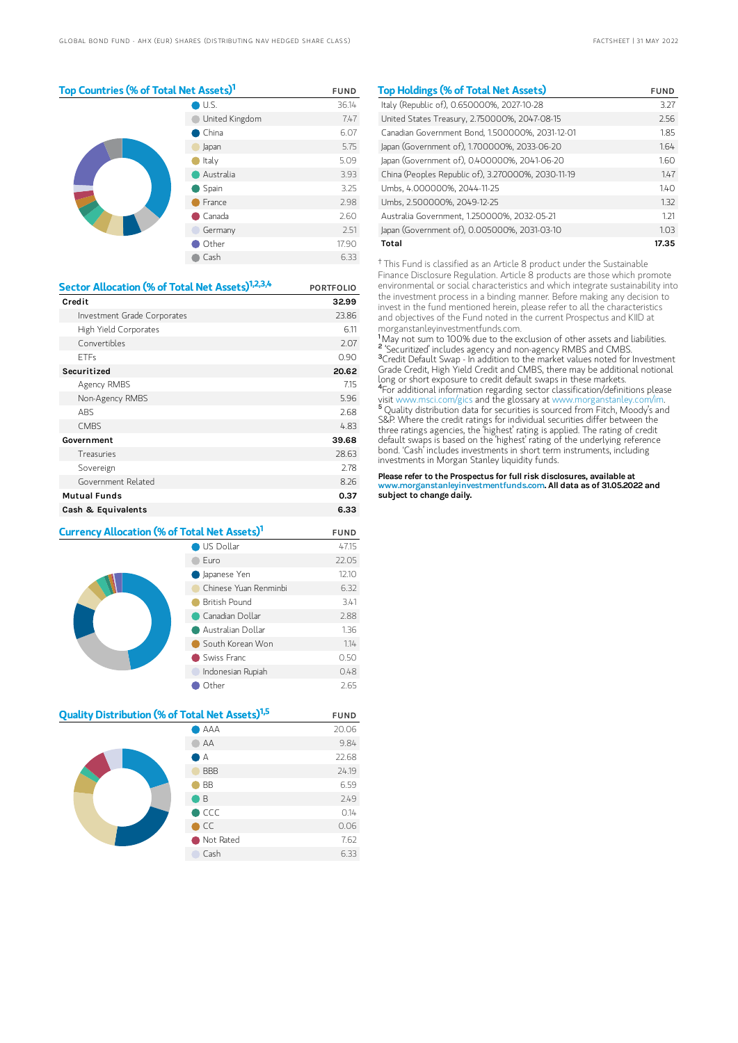## Top Countries (% of Total Net Assets)<sup>1</sup> FUND

|  | U.S.           | 36.14 |
|--|----------------|-------|
|  | United Kingdom | 7.47  |
|  | China          | 6.07  |
|  | Japan          | 5.75  |
|  | Italy          | 5.09  |
|  | Australia      | 3.93  |
|  | Spain          | 3.25  |
|  | France         | 2.98  |
|  | Canada         | 2.60  |
|  | Germany        | 2.51  |
|  | Other          | 17.90 |
|  | Cash           | 6.33  |

| Sector Allocation (% of Total Net Assets) <sup>1,2,3,4</sup> | <b>PORTFOLIO</b> |
|--------------------------------------------------------------|------------------|
| Credit                                                       | 32.99            |
| Investment Grade Corporates                                  | 23.86            |
| High Yield Corporates                                        | 6.11             |
| Convertibles                                                 | 2.07             |
| <b>FTFs</b>                                                  | 0.90             |
| Securitized                                                  | 20.62            |
| Agency RMBS                                                  | 7.15             |
| Non-Agency RMBS                                              | 5.96             |
| <b>ABS</b>                                                   | 2.68             |
| <b>CMBS</b>                                                  | 4.83             |
| Government                                                   | 39.68            |
| Treasuries                                                   | 28.63            |
| Sovereign                                                    | 2.78             |
| Government Related                                           | 8.26             |
| <b>Mutual Funds</b>                                          | 0.37             |
| Cash & Equivalents                                           | 6.33             |

| Currency Allocation (% of Total Net Assets) <sup>1</sup> | <b>FUND</b>           |       |
|----------------------------------------------------------|-----------------------|-------|
|                                                          | US Dollar             | 47.15 |
|                                                          | Furo                  | 22.05 |
|                                                          | Japanese Yen          | 12.10 |
|                                                          | Chinese Yuan Renminhi | 6.32  |
|                                                          | British Pound         | 3.41  |
|                                                          | Canadian Dollar       | 2.88  |
|                                                          | Australian Dollar     | 1.36  |
|                                                          | South Korean Won      | 1.14  |
|                                                          | Swiss Franc           | 0.50  |
|                                                          | Indonesian Rupiah     | 0.48  |
|                                                          | Other                 | 2.65  |

| Quality Distribution (% of Total Net Assets) <sup>1,5</sup> |            | <b>FUND</b> |
|-------------------------------------------------------------|------------|-------------|
|                                                             | AAA        | 20.06       |
|                                                             | AA         | 9.84        |
|                                                             | А          | 22.68       |
|                                                             | <b>BBB</b> | 24.19       |
|                                                             | <b>BB</b>  | 6.59        |
|                                                             | B.         | 2.49        |
|                                                             | CCC        | 0.14        |
|                                                             | CC.        | 0.06        |
|                                                             | Not Rated  | 7.62        |
|                                                             | Cash       | 6.33        |
|                                                             |            |             |

| <b>Top Holdings (% of Total Net Assets)</b>        | <b>FUND</b> |
|----------------------------------------------------|-------------|
| Italy (Republic of), 0.650000%, 2027-10-28         | 3.27        |
| United States Treasury, 2.750000%, 2047-08-15      | 2.56        |
| Canadian Government Bond, 1.500000%, 2031-12-01    | 1.85        |
| Japan (Government of), 1.700000%, 2033-06-20       | 1.64        |
| Japan (Government of), 0.400000%, 2041-06-20       | 1.60        |
| China (Peoples Republic of), 3.270000%, 2030-11-19 | 1.47        |
| Umbs. 4.000000%. 2044-11-25                        | 140         |
| Umbs. 2.500000%. 2049-12-25                        | 1.32        |
| Australia Government, 1.250000%, 2032-05-21        | 1.21        |
| Japan (Government of), 0.005000%, 2031-03-10       | 1.03        |
| Total                                              | 17.35       |

<sup>†</sup> This Fund is classified as an Article 8 product under the Sustainable Finance Disclosure Regulation. Article 8 products are those which promote environmental or social characteristics and which integrate sustainability into the investment process in a binding manner. Before making any decision to invest in the fund mentioned herein, please refer to all the characteristics and objectives of the Fund noted in the current Prospectus and KIID at morganstanleyinvestmentfunds.com.

May not sum to 100% due to the exclusion of other assets and liabilities. 'Securitized' includes agency and non-agency RMBS and CMBS. Credit Default Swap - In addition to the market values noted for Investment Grade Credit, High Yield Credit and CMBS, there may be additional notional long or short exposure to credit default swaps in these markets. For additional information regarding sector classification/definitions please visit www.msci.com/gics and the glossary at www.morganstanley.com/im. <sup>5</sup> Quality distribution data for securities is sourced from Fitch, Moody's and S&P. Where the credit ratings for individual securities differ between the three ratings agencies, the 'highest' rating is applied. The rating of credit default swaps is based on the 'highest' rating of the underlying reference bond. 'Cash' includes investments in short term instruments, including investments in Morgan Stanley liquidity funds. 1 2  $3<sub>f</sub>$  $4<sub>l</sub>$ 

Please refer to the Prospectus for full risk disclosures, available at www.morganstanleyinvestmentfunds.com. All data as of 31.05.2022 and subject to change daily.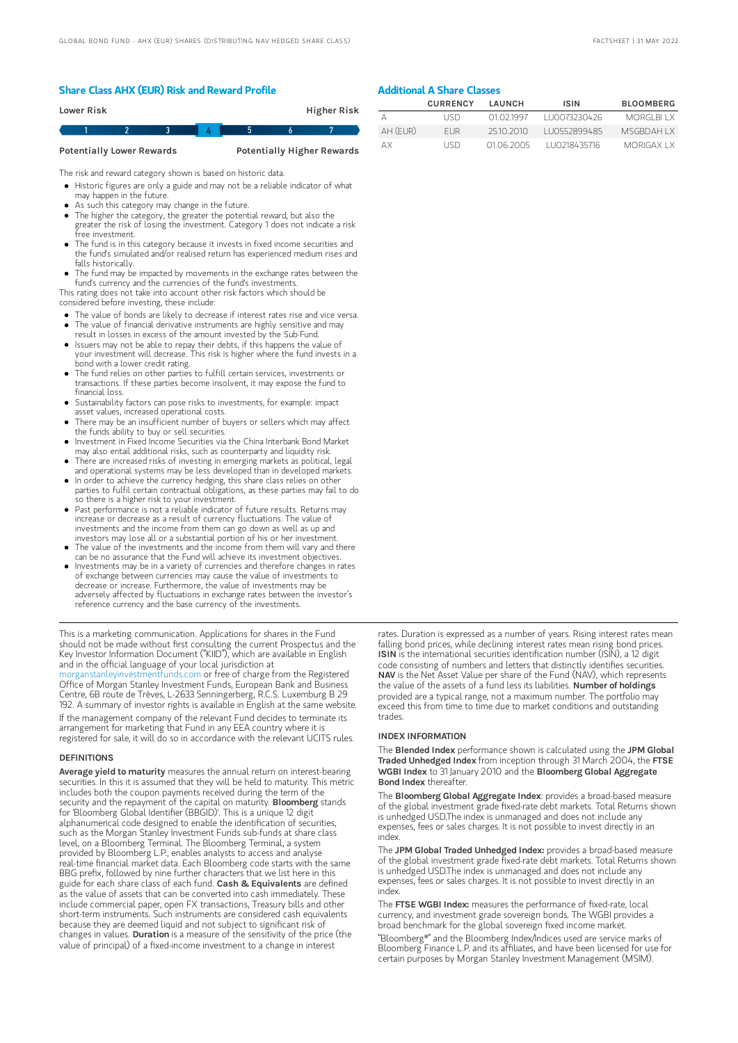### Share Class AHX (EUR) Risk and Reward Profile

| Lower Risk |                                  |  |  | Higher Risk                       |
|------------|----------------------------------|--|--|-----------------------------------|
|            |                                  |  |  |                                   |
|            | <b>Potentially Lower Rewards</b> |  |  | <b>Potentially Higher Rewards</b> |

The risk and reward category shown is based on historic data.

- Historic figures are only a guide and may not be a reliable indicator of what may happen in the future.
- As such this category may change in the future.
- The higher the category, the greater the potential reward, but also the greater the risk of losing the investment. Category 1 does not indicate a risk free investment.
- The fund is in this category because it invests in fixed income securities and the fund's simulated and/or realised return has experienced medium rises and falls historically.
- The fund may be impacted by movements in the exchange rates between the fund's currency and the currencies of the fund's investments.

This rating does not take into account other risk factors which should be considered before investing, these include:

- The value of bonds are likely to decrease if interest rates rise and vice versa.
- The value of financial derivative instruments are highly sensitive and may result in losses in excess of the amount invested by the Sub-Fund.
- Issuers may not be able to repay their debts, if this happens the value of your investment will decrease. This risk is higher where the fund invests in a bond with a lower credit rating.
- The fund relies on other parties to fulfill certain services, investments or transactions. If these parties become insolvent, it may expose the fund to financial loss.
- Sustainability factors can pose risks to investments, for example: impact asset values, increased operational costs.
- There may be an insufficient number of buyers or sellers which may affect the funds ability to buy or sell securities.
- Investment in Fixed Income Securities via the China Interbank Bond Market may also entail additional risks, such as counterparty and liquidity risk.
- There are increased risks of investing in emerging markets as political, legal and operational systems may be less developed than in developed markets.
- In order to achieve the currency hedging, this share class relies on other parties to fulfil certain contractual obligations, as these parties may fail to do so there is a higher risk to your investment.
- Past performance is not a reliable indicator of future results. Returns may increase or decrease as a result of currency fluctuations. The value of investments and the income from them can go down as well as up and investors may lose all or a substantial portion of his or her investment.
- The value of the investments and the income from them will vary and there can be no assurance that the Fund will achieve its investment objectives.
- Investments may be in a variety of currencies and therefore changes in rates of exchange between currencies may cause the value of investments to decrease or increase. Furthermore, the value of investments may be adversely affected by fluctuations in exchange rates between the investor's reference currency and the base currency of the investments.

This is a marketing communication. Applications for shares in the Fund should not be made without first consulting the current Prospectus and the Key Investor Information Document ("KIID"), which are available in English and in the official language of your local jurisdiction at

[morganstanleyinvestmentfunds.com](https://www.morganstanley.com/im/msinvf/index.html) or free of charge from the Registered Office of Morgan Stanley Investment Funds, European Bank and Business Centre, 6B route de Trèves, L-2633 Senningerberg, R.C.S. Luxemburg B 29 192. A summary of investor rights is available in English at the same website.

If the management company of the relevant Fund decides to terminate its arrangement for marketing that Fund in any EEA country where it is registered for sale, it will do so in accordance with the relevant UCITS rules.

#### **DEFINITIONS**

Average yield to maturity measures the annual return on interest-bearing securities. In this it is assumed that they will be held to maturity. This metric includes both the coupon payments received during the term of the security and the repayment of the capital on maturity. **Bloomberg** stands for 'Bloomberg Global Identifier (BBGID)'. This is a unique 12 digit alphanumerical code designed to enable the identification of securities, such as the Morgan Stanley Investment Funds sub-funds at share class level, on a Bloomberg Terminal. The Bloomberg Terminal, a system provided by Bloomberg L.P., enables analysts to access and analyse real-time financial market data. Each Bloomberg code starts with the same BBG prefix, followed by nine further characters that we list here in this guide for each share class of each fund. Cash & Equivalents are defined as the value of assets that can be converted into cash immediately. These include commercial paper, open FX transactions, Treasury bills and other short-term instruments. Such instruments are considered cash equivalents because they are deemed liquid and not subject to significant risk of changes in values. Duration is a measure of the sensitivity of the price (the value of principal) of a fixed-income investment to a change in interest

## Additional A Share Classes

|          | <b>CURRENCY</b> | LAUNCH     | ISIN          | <b>BLOOMBERG</b>   |
|----------|-----------------|------------|---------------|--------------------|
|          | <b>LISD</b>     | 01 02 1997 | 1110073230426 | MORGLBLLX          |
| AH (FUR) | <b>FUR</b>      | 2510 2010  | LU0552899485  | <b>MSGRDAHIX</b>   |
| ΔX       | LISD.           | 01 06 2005 | 1110218435716 | <b>MORIGAX I X</b> |

rates. Duration is expressed as a number of years. Rising interest rates mean falling bond prices, while declining interest rates mean rising bond prices. ISIN is the international securities identification number (ISIN), a 12 digit code consisting of numbers and letters that distinctly identifies securities. NAV is the Net Asset Value per share of the Fund (NAV), which represents the value of the assets of a fund less its liabilities. Number of holdings provided are a typical range, not a maximum number. The portfolio may exceed this from time to time due to market conditions and outstanding trades.

#### INDEX INFORMATION

The Blended Index performance shown is calculated using the JPM Global Traded Unhedged Index from inception through 31 March 2004, the FTSE WGBI Index to 31 January 2010 and the Bloomberg Global Aggregate Bond Index thereafter.

The Bloomberg Global Aggregate Index: provides a broad-based measure of the global investment grade fixed-rate debt markets. Total Returns shown is unhedged USD.The index is unmanaged and does not include any expenses, fees or sales charges. It is not possible to invest directly in an index.

The JPM Global Traded Unhedged Index: provides a broad-based measure of the global investment grade fixed-rate debt markets. Total Returns shown is unhedged USD.The index is unmanaged and does not include any expenses, fees or sales charges. It is not possible to invest directly in an index.

The FTSE WGBI Index: measures the performance of fixed-rate, local currency, and investment grade sovereign bonds. The WGBI provides a broad benchmark for the global sovereign fixed income market.

"Bloomberg®" and the Bloomberg Index/Indices used are service marks of Bloomberg Finance L.P. and its affiliates, and have been licensed for use for certain purposes by Morgan Stanley Investment Management (MSIM).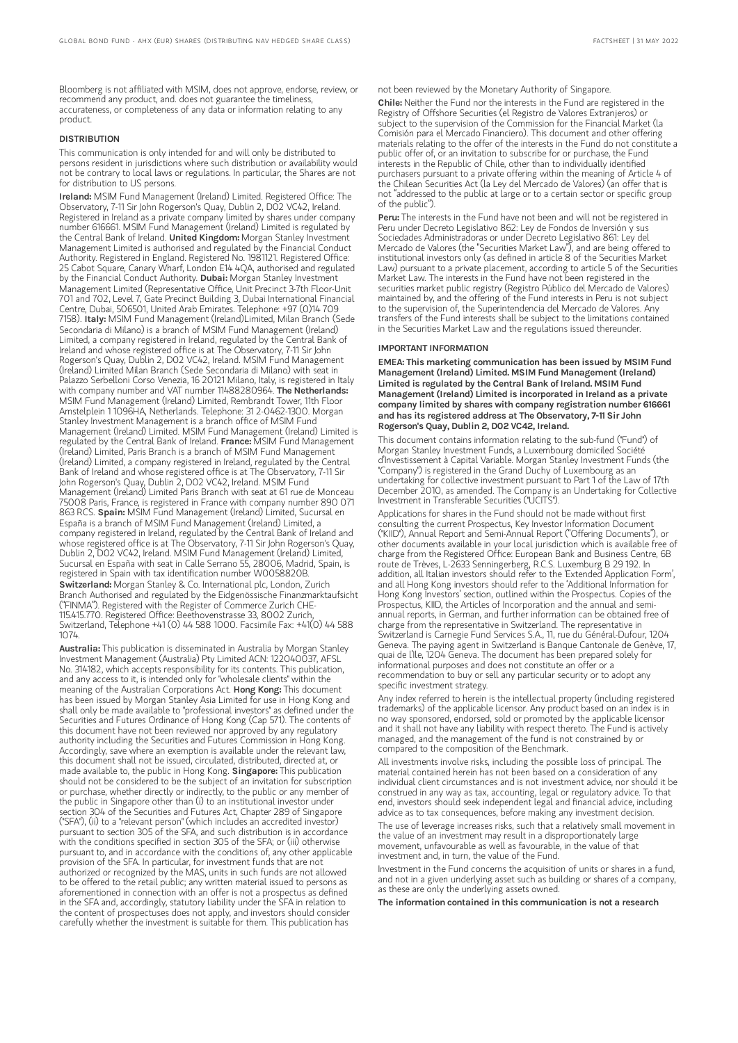Bloomberg is not affiliated with MSIM, does not approve, endorse, review, or recommend any product, and. does not guarantee the timeliness, accurateness, or completeness of any data or information relating to any product.

#### DISTRIBUTION

This communication is only intended for and will only be distributed to persons resident in jurisdictions where such distribution or availability would not be contrary to local laws or regulations. In particular, the Shares are not for distribution to US persons.

Ireland: MSIM Fund Management (Ireland) Limited. Registered Office: The Observatory, 7-11 Sir John Rogerson's Quay, Dublin 2, DO2 VC42, Ireland. Registered in Ireland as a private company limited by shares under company number 616661. MSIM Fund Management (Ireland) Limited is regulated by the Central Bank of Ireland. United Kingdom: Morgan Stanley Investment Management Limited is authorised and regulated by the Financial Conduct Authority. Registered in England. Registered No. 1981121. Registered Office: 25 Cabot Square, Canary Wharf, London E14 4QA, authorised and regulated by the Financial Conduct Authority. Dubai: Morgan Stanley Investment Management Limited (Representative Office, Unit Precinct 3-7th Floor-Unit 701 and 702, Level 7, Gate Precinct Building 3, Dubai International Financial Centre, Dubai, 506501, United Arab Emirates. Telephone: +97 (0)14 709 7158). Italy: MSIM Fund Management (Ireland)Limited, Milan Branch (Sede Secondaria di Milano) is a branch of MSIM Fund Management (Ireland) Limited, a company registered in Ireland, regulated by the Central Bank of Ireland and whose registered office is at The Observatory, 7-11 Sir John Rogerson's Quay, Dublin 2, D02 VC42, Ireland. MSIM Fund Management (Ireland) Limited Milan Branch (Sede Secondaria di Milano) with seat in Palazzo Serbelloni Corso Venezia, 16 20121 Milano, Italy, is registered in Italy with company number and VAT number 11488280964. The Netherlands: MSIM Fund Management (Ireland) Limited, Rembrandt Tower, 11th Floor Amstelplein 1 1096HA, Netherlands. Telephone: 31 2-0462-1300. Morgan Stanley Investment Management is a branch office of MSIM Fund Management (Ireland) Limited. MSIM Fund Management (Ireland) Limited is regulated by the Central Bank of Ireland. France: MSIM Fund Management (Ireland) Limited, Paris Branch is a branch of MSIM Fund Management (Ireland) Limited, a company registered in Ireland, regulated by the Central Bank of Ireland and whose registered office is at The Observatory, 7-11 Sir John Rogerson's Quay, Dublin 2, D02 VC42, Ireland. MSIM Fund Management (Ireland) Limited Paris Branch with seat at 61 rue de Monceau 75008 Paris, France, is registered in France with company number 890 071<br>863 RCS. **Spain:** MSIM Fund Management (Ireland) Limited, Sucursal en España is a branch of MSIM Fund Management (Ireland) Limited, a company registered in Ireland, regulated by the Central Bank of Ireland and whose registered office is at The Observatory, 7-11 Sir John Rogerson's Quay, Dublin 2, D02 VC42, Ireland. MSIM Fund Management (Ireland) Limited, Sucursal en España with seat in Calle Serrano 55, 28006, Madrid, Spain, is registered in Spain with tax identification number W0058820B. Switzerland: Morgan Stanley & Co. International plc, London, Zurich Branch Authorised and regulated by the Eidgenössische Finanzmarktaufsicht ("FINMA"). Registered with the Register of Commerce Zurich CHE-115.415.770. Registered Office: Beethovenstrasse 33, 8002 Zurich, Switzerland, Telephone +41 (0) 44 588 1000. Facsimile Fax: +41(0) 44 588 1074.

Australia: This publication is disseminated in Australia by Morgan Stanley Investment Management (Australia) Pty Limited ACN: 122040037, AFSL No. 314182, which accepts responsibility for its contents. This publication, and any access to it, is intended only for "wholesale clients" within the meaning of the Australian Corporations Act. Hong Kong: This document has been issued by Morgan Stanley Asia Limited for use in Hong Kong and shall only be made available to "professional investors" as defined under the Securities and Futures Ordinance of Hong Kong (Cap 571). The contents of this document have not been reviewed nor approved by any regulatory authority including the Securities and Futures Commission in Hong Kong. Accordingly, save where an exemption is available under the relevant law, this document shall not be issued, circulated, distributed, directed at, or made available to, the public in Hong Kong. Singapore: This publication should not be considered to be the subject of an invitation for subscription or purchase, whether directly or indirectly, to the public or any member of the public in Singapore other than (i) to an institutional investor under section 304 of the Securities and Futures Act, Chapter 289 of Singapore ("SFA"), (ii) to a "relevant person" (which includes an accredited investor) pursuant to section 305 of the SFA, and such distribution is in accordance with the conditions specified in section 305 of the SFA; or (iii) otherwise pursuant to, and in accordance with the conditions of, any other applicable provision of the SFA. In particular, for investment funds that are not authorized or recognized by the MAS, units in such funds are not allowed to be offered to the retail public; any written material issued to persons as aforementioned in connection with an offer is not a prospectus as defined in the SFA and, accordingly, statutory liability under the SFA in relation to the content of prospectuses does not apply, and investors should consider carefully whether the investment is suitable for them. This publication has

not been reviewed by the Monetary Authority of Singapore.

Chile: Neither the Fund nor the interests in the Fund are registered in the Registry of Offshore Securities (el Registro de Valores Extranjeros) or subject to the supervision of the Commission for the Financial Market (la Comisión para el Mercado Financiero). This document and other offering materials relating to the offer of the interests in the Fund do not constitute a public offer of, or an invitation to subscribe for or purchase, the Fund interests in the Republic of Chile, other than to individually identified purchasers pursuant to a private offering within the meaning of Article 4 of the Chilean Securities Act (la Ley del Mercado de Valores) (an offer that is not "addressed to the public at large or to a certain sector or specific group of the public").

Peru: The interests in the Fund have not been and will not be registered in Peru under Decreto Legislativo 862: Ley de Fondos de Inversión y sus Sociedades Administradoras or under Decreto Legislativo 861: Ley del Mercado de Valores (the "Securities Market Law"), and are being offered to institutional investors only (as defined in article 8 of the Securities Market Law) pursuant to a private placement, according to article 5 of the Securities Earry parsuality to a private pattention, according to article 5 or the set securities market public registry (Registro Público del Mercado de Valores) maintained by, and the offering of the Fund interests in Peru is not subject to the supervision of, the Superintendencia del Mercado de Valores. Any transfers of the Fund interests shall be subject to the limitations contained in the Securities Market Law and the regulations issued thereunder.

#### IMPORTANT INFORMATION

EMEA: This marketing communication has been issued by MSIM Fund Management (Ireland) Limited. MSIM Fund Management (Ireland) Limited is regulated by the Central Bank of Ireland. MSIM Fund Management (Ireland) Limited is incorporated in Ireland as a private company limited by shares with company registration number 616661 and has its registered address at The Observatory, 7-11 Sir John Rogerson's Quay, Dublin 2, D02 VC42, Ireland.

This document contains information relating to the sub-fund ("Fund") of Morgan Stanley Investment Funds, a Luxembourg domiciled Société d'Investissement à Capital Variable. Morgan Stanley Investment Funds (the "Company") is registered in the Grand Duchy of Luxembourg as an undertaking for collective investment pursuant to Part 1 of the Law of 17th December 2010, as amended. The Company is an Undertaking for Collective Investment in Transferable Securities ("UCITS").

Applications for shares in the Fund should not be made without first consulting the current Prospectus, Key Investor Information Document ("KIID"), Annual Report and Semi-Annual Report ("Offering Documents"), or other documents available in your local jurisdiction which is available free of charge from the Registered Office: European Bank and Business Centre, 6B route de Trèves, L-2633 Senningerberg, R.C.S. Luxemburg B 29 192. In addition, all Italian investors should refer to the 'Extended Application Form', and all Hong Kong investors should refer to the 'Additional Information for Hong Kong Investors' section, outlined within the Prospectus. Copies of the Prospectus, KIID, the Articles of Incorporation and the annual and semiannual reports, in German, and further information can be obtained free of charge from the representative in Switzerland. The representative in Switzerland is Carnegie Fund Services S.A., 11, rue du Général-Dufour, 1204 Geneva. The paying agent in Switzerland is Banque Cantonale de Genève, 17, quai de l'Ile, 1204 Geneva. The document has been prepared solely for informational purposes and does not constitute an offer or a recommendation to buy or sell any particular security or to adopt any specific investment strategy.

Any index referred to herein is the intellectual property (including registered trademarks) of the applicable licensor. Any product based on an index is in no way sponsored, endorsed, sold or promoted by the applicable licensor and it shall not have any liability with respect thereto. The Fund is actively managed, and the management of the fund is not constrained by or compared to the composition of the Benchmark.

All investments involve risks, including the possible loss of principal. The material contained herein has not been based on a consideration of any individual client circumstances and is not investment advice, nor should it be construed in any way as tax, accounting, legal or regulatory advice. To that end, investors should seek independent legal and financial advice, including advice as to tax consequences, before making any investment decision.

The use of leverage increases risks, such that a relatively small movement in the value of an investment may result in a disproportionately large movement, unfavourable as well as favourable, in the value of that investment and, in turn, the value of the Fund.

Investment in the Fund concerns the acquisition of units or shares in a fund, and not in a given underlying asset such as building or shares of a company, as these are only the underlying assets owned.

The information contained in this communication is not a research